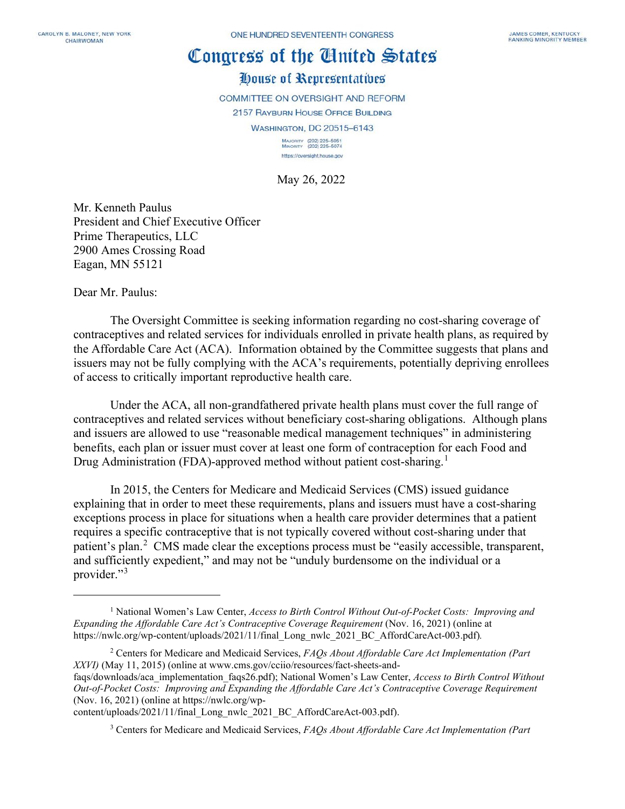## Congress of the Cinited States

## House of Representatives

COMMITTEE ON OVERSIGHT AND REFORM

2157 RAYBURN HOUSE OFFICE BUILDING

**WASHINGTON, DC 20515-6143** 

MAJORITY (202) 225-5051<br>MINORITY (202) 225-5074 https://oversight.house.gov

May 26, 2022

Mr. Kenneth Paulus President and Chief Executive Officer Prime Therapeutics, LLC 2900 Ames Crossing Road Eagan, MN 55121

Dear Mr. Paulus:

The Oversight Committee is seeking information regarding no cost-sharing coverage of contraceptives and related services for individuals enrolled in private health plans, as required by the Affordable Care Act (ACA). Information obtained by the Committee suggests that plans and issuers may not be fully complying with the ACA's requirements, potentially depriving enrollees of access to critically important reproductive health care.

Under the ACA, all non-grandfathered private health plans must cover the full range of contraceptives and related services without beneficiary cost-sharing obligations. Although plans and issuers are allowed to use "reasonable medical management techniques" in administering benefits, each plan or issuer must cover at least one form of contraception for each Food and Drug Administration (FDA)-approved method without patient cost-sharing.<sup>[1](#page-0-0)</sup>

In 2015, the Centers for Medicare and Medicaid Services (CMS) issued guidance explaining that in order to meet these requirements, plans and issuers must have a cost-sharing exceptions process in place for situations when a health care provider determines that a patient requires a specific contraceptive that is not typically covered without cost-sharing under that patient's plan.<sup>[2](#page-0-1)</sup> CMS made clear the exceptions process must be "easily accessible, transparent, and sufficiently expedient," and may not be "unduly burdensome on the individual or a provider."<sup>[3](#page-0-2)</sup>

<span id="page-0-2"></span>content/uploads/2021/11/final\_Long\_nwlc\_2021\_BC\_AffordCareAct-003.pdf).

<sup>3</sup> Centers for Medicare and Medicaid Services, *FAQs About Affordable Care Act Implementation (Part* 

<span id="page-0-0"></span><sup>1</sup> National Women's Law Center, *Access to Birth Control Without Out-of-Pocket Costs: Improving and Expanding the Affordable Care Act's Contraceptive Coverage Requirement* (Nov. 16, 2021) (online at https://nwlc.org/wp-content/uploads/2021/11/final\_Long\_nwlc\_2021\_BC\_AffordCareAct-003.pdf)*.*

<span id="page-0-1"></span><sup>2</sup> Centers for Medicare and Medicaid Services, *FAQs About Affordable Care Act Implementation (Part XXVI)* (May 11, 2015) (online at www.cms.gov/cciio/resources/fact-sheets-and-

faqs/downloads/aca\_implementation\_faqs26.pdf); National Women's Law Center, *Access to Birth Control Without Out-of-Pocket Costs: Improving and Expanding the Affordable Care Act's Contraceptive Coverage Requirement* (Nov. 16, 2021) (online at https://nwlc.org/wp-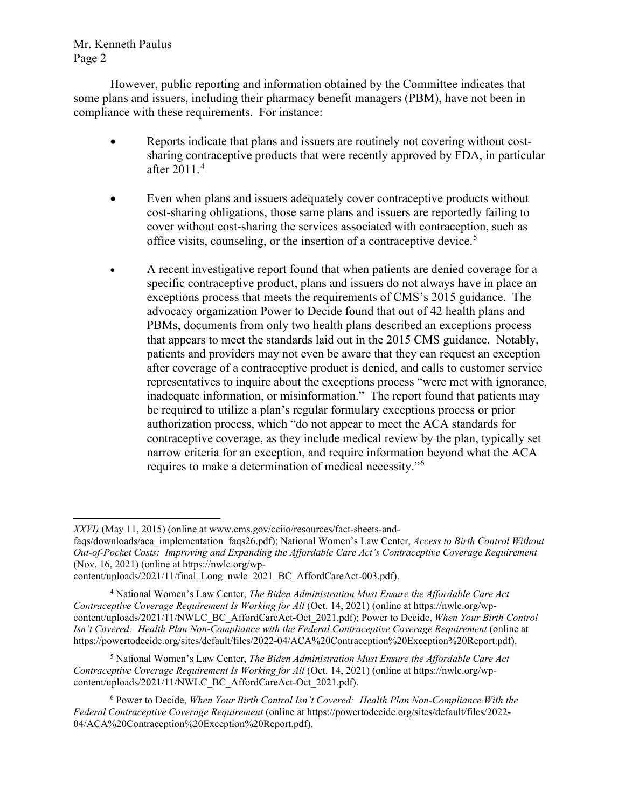Mr. Kenneth Paulus Page 2

However, public reporting and information obtained by the Committee indicates that some plans and issuers, including their pharmacy benefit managers (PBM), have not been in compliance with these requirements. For instance:

- Reports indicate that plans and issuers are routinely not covering without costsharing contraceptive products that were recently approved by FDA, in particular after 2011.[4](#page-1-0)
- Even when plans and issuers adequately cover contraceptive products without cost-sharing obligations, those same plans and issuers are reportedly failing to cover without cost-sharing the services associated with contraception, such as office visits, counseling, or the insertion of a contraceptive device.<sup>[5](#page-1-1)</sup>
- A recent investigative report found that when patients are denied coverage for a specific contraceptive product, plans and issuers do not always have in place an exceptions process that meets the requirements of CMS's 2015 guidance. The advocacy organization Power to Decide found that out of 42 health plans and PBMs, documents from only two health plans described an exceptions process that appears to meet the standards laid out in the 2015 CMS guidance. Notably, patients and providers may not even be aware that they can request an exception after coverage of a contraceptive product is denied, and calls to customer service representatives to inquire about the exceptions process "were met with ignorance, inadequate information, or misinformation." The report found that patients may be required to utilize a plan's regular formulary exceptions process or prior authorization process, which "do not appear to meet the ACA standards for contraceptive coverage, as they include medical review by the plan, typically set narrow criteria for an exception, and require information beyond what the ACA requires to make a determination of medical necessity."[6](#page-1-2)

<span id="page-1-1"></span><sup>5</sup> National Women's Law Center, *The Biden Administration Must Ensure the Affordable Care Act Contraceptive Coverage Requirement Is Working for All* (Oct. 14, 2021) (online at https://nwlc.org/wpcontent/uploads/2021/11/NWLC\_BC\_AffordCareAct-Oct\_2021.pdf).

*XXVI)* (May 11, 2015) (online at www.cms.gov/cciio/resources/fact-sheets-and-

faqs/downloads/aca\_implementation\_faqs26.pdf); National Women's Law Center, *Access to Birth Control Without Out-of-Pocket Costs: Improving and Expanding the Affordable Care Act's Contraceptive Coverage Requirement* (Nov. 16, 2021) (online at https://nwlc.org/wp-

content/uploads/2021/11/final\_Long\_nwlc\_2021\_BC\_AffordCareAct-003.pdf).

<span id="page-1-0"></span><sup>4</sup> National Women's Law Center, *The Biden Administration Must Ensure the Affordable Care Act Contraceptive Coverage Requirement Is Working for All* (Oct. 14, 2021) (online at https://nwlc.org/wpcontent/uploads/2021/11/NWLC\_BC\_AffordCareAct-Oct\_2021.pdf); Power to Decide, *When Your Birth Control Isn't Covered: Health Plan Non-Compliance with the Federal Contraceptive Coverage Requirement* (online at https://powertodecide.org/sites/default/files/2022-04/ACA%20Contraception%20Exception%20Report.pdf).

<span id="page-1-2"></span><sup>6</sup> Power to Decide, *When Your Birth Control Isn't Covered: Health Plan Non-Compliance With the Federal Contraceptive Coverage Requirement* (online at https://powertodecide.org/sites/default/files/2022- 04/ACA%20Contraception%20Exception%20Report.pdf).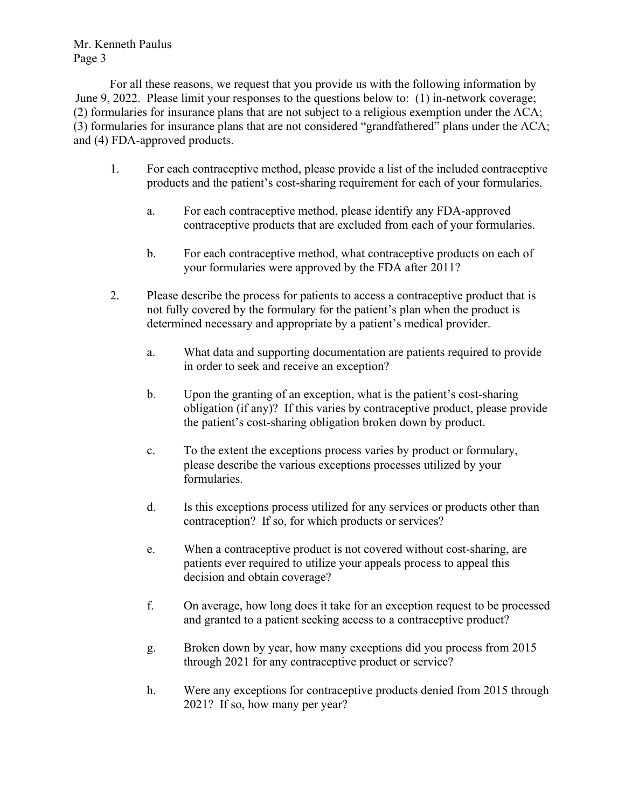Mr. Kenneth Paulus Page 3

For all these reasons, we request that you provide us with the following information by June 9, 2022. Please limit your responses to the questions below to: (1) in-network coverage; (2) formularies for insurance plans that are not subject to a religious exemption under the ACA; (3) formularies for insurance plans that are not considered "grandfathered" plans under the ACA; and (4) FDA-approved products.

- 1. For each contraceptive method, please provide a list of the included contraceptive products and the patient's cost-sharing requirement for each of your formularies.
	- a. For each contraceptive method, please identify any FDA-approved contraceptive products that are excluded from each of your formularies.
	- b. For each contraceptive method, what contraceptive products on each of your formularies were approved by the FDA after 2011?
- 2. Please describe the process for patients to access a contraceptive product that is not fully covered by the formulary for the patient's plan when the product is determined necessary and appropriate by a patient's medical provider.
	- a. What data and supporting documentation are patients required to provide in order to seek and receive an exception?
	- b. Upon the granting of an exception, what is the patient's cost-sharing obligation (if any)? If this varies by contraceptive product, please provide the patient's cost-sharing obligation broken down by product.
	- c. To the extent the exceptions process varies by product or formulary, please describe the various exceptions processes utilized by your formularies.
	- d. Is this exceptions process utilized for any services or products other than contraception? If so, for which products or services?
	- e. When a contraceptive product is not covered without cost-sharing, are patients ever required to utilize your appeals process to appeal this decision and obtain coverage?
	- f. On average, how long does it take for an exception request to be processed and granted to a patient seeking access to a contraceptive product?
	- g. Broken down by year, how many exceptions did you process from 2015 through 2021 for any contraceptive product or service?
	- h. Were any exceptions for contraceptive products denied from 2015 through 2021? If so, how many per year?